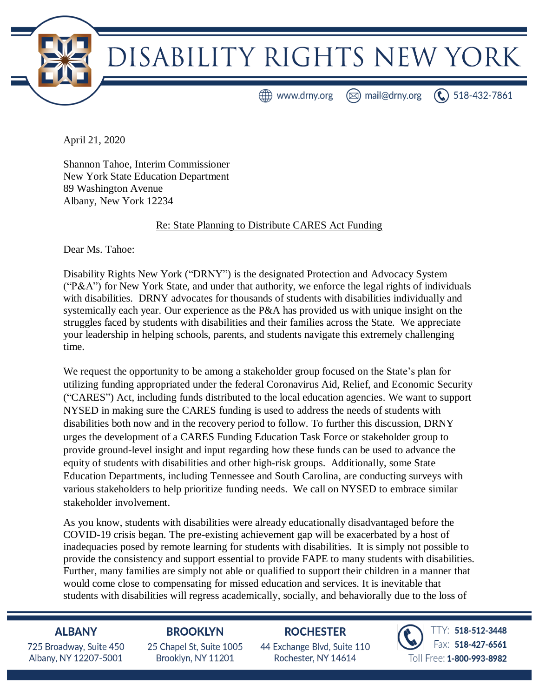

April 21, 2020

Shannon Tahoe, Interim Commissioner New York State Education Department 89 Washington Avenue Albany, New York 12234

#### Re: State Planning to Distribute CARES Act Funding

Dear Ms. Tahoe:

Disability Rights New York ("DRNY") is the designated Protection and Advocacy System ("P&A") for New York State, and under that authority, we enforce the legal rights of individuals with disabilities. DRNY advocates for thousands of students with disabilities individually and systemically each year. Our experience as the P&A has provided us with unique insight on the struggles faced by students with disabilities and their families across the State. We appreciate your leadership in helping schools, parents, and students navigate this extremely challenging time.

We request the opportunity to be among a stakeholder group focused on the State's plan for utilizing funding appropriated under the federal Coronavirus Aid, Relief, and Economic Security ("CARES") Act, including funds distributed to the local education agencies. We want to support NYSED in making sure the CARES funding is used to address the needs of students with disabilities both now and in the recovery period to follow. To further this discussion, DRNY urges the development of a CARES Funding Education Task Force or stakeholder group to provide ground-level insight and input regarding how these funds can be used to advance the equity of students with disabilities and other high-risk groups. Additionally, some State Education Departments, including Tennessee and South Carolina, are conducting surveys with various stakeholders to help prioritize funding needs. We call on NYSED to embrace similar stakeholder involvement.

As you know, students with disabilities were already educationally disadvantaged before the COVID-19 crisis began. The pre-existing achievement gap will be exacerbated by a host of inadequacies posed by remote learning for students with disabilities. It is simply not possible to provide the consistency and support essential to provide FAPE to many students with disabilities. Further, many families are simply not able or qualified to support their children in a manner that would come close to compensating for missed education and services. It is inevitable that students with disabilities will regress academically, socially, and behaviorally due to the loss of

### **ALBANY**

725 Broadway, Suite 450 Albany, NY 12207-5001

## **BROOKLYN**

25 Chapel St. Suite 1005 Brooklyn, NY 11201

# **ROCHESTER**

44 Exchange Blvd. Suite 110 Rochester, NY 14614